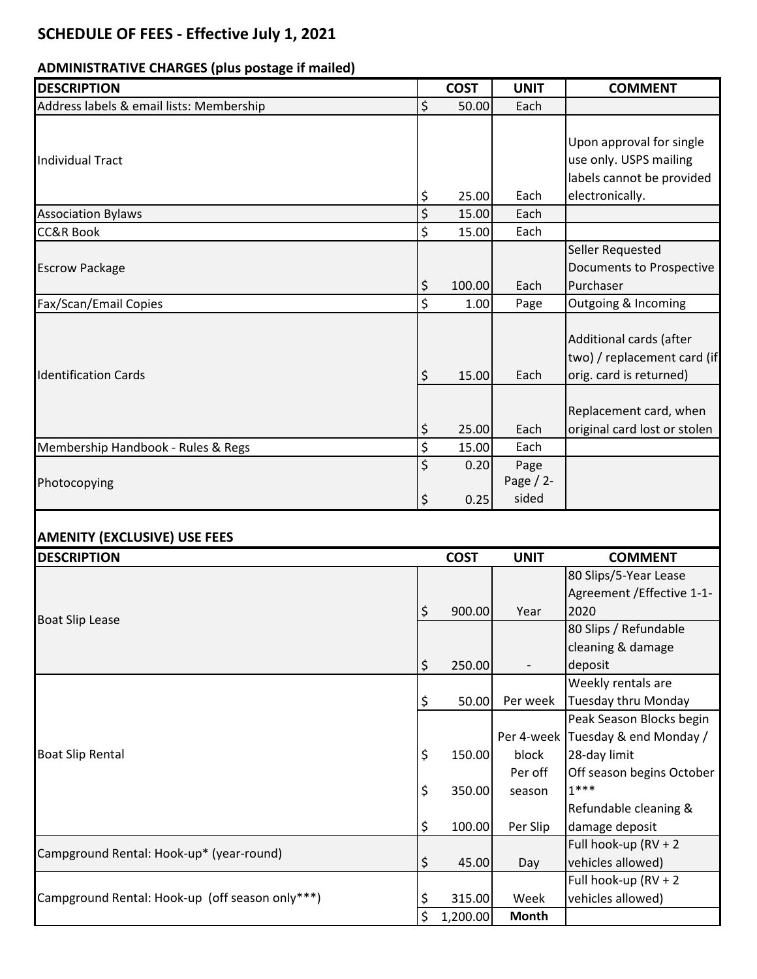## **SCHEDULE OF FEES - Effective July 1, 2021**

## **ADMINISTRATIVE CHARGES (plus postage if mailed)**

| <b>DESCRIPTION</b>                              | <b>COST</b>  | <b>UNIT</b>         | <b>COMMENT</b>                                    |
|-------------------------------------------------|--------------|---------------------|---------------------------------------------------|
| Address labels & email lists: Membership        | \$<br>50.00  | Each                |                                                   |
|                                                 |              |                     |                                                   |
|                                                 |              |                     | Upon approval for single                          |
| <b>Individual Tract</b>                         |              |                     | use only. USPS mailing                            |
|                                                 |              |                     | labels cannot be provided                         |
|                                                 | \$<br>25.00  | Each                | electronically.                                   |
| <b>Association Bylaws</b>                       | \$<br>15.00  | Each                |                                                   |
| <b>CC&amp;R Book</b>                            | \$<br>15.00  | Each                |                                                   |
| <b>Escrow Package</b>                           |              |                     | Seller Requested                                  |
|                                                 |              |                     | <b>Documents to Prospective</b>                   |
|                                                 | \$<br>100.00 | Each                | Purchaser                                         |
| Fax/Scan/Email Copies                           | \$<br>1.00   | Page                | Outgoing & Incoming                               |
|                                                 |              |                     |                                                   |
|                                                 |              |                     | Additional cards (after                           |
|                                                 |              |                     | two) / replacement card (if                       |
| <b>Identification Cards</b>                     | \$<br>15.00  | Each                | orig. card is returned)                           |
|                                                 |              |                     |                                                   |
|                                                 |              |                     | Replacement card, when                            |
|                                                 | \$<br>25.00  | Each                | original card lost or stolen                      |
| Membership Handbook - Rules & Regs              | \$<br>15.00  | Each                |                                                   |
|                                                 | \$<br>0.20   | Page<br>Page $/2$ - |                                                   |
| Photocopying                                    | \$<br>0.25   | sided               |                                                   |
|                                                 |              |                     |                                                   |
| <b>AMENITY (EXCLUSIVE) USE FEES</b>             |              |                     |                                                   |
| <b>DESCRIPTION</b>                              | <b>COST</b>  | <b>UNIT</b>         | <b>COMMENT</b>                                    |
|                                                 |              |                     | 80 Slips/5-Year Lease                             |
|                                                 |              |                     | Agreement / Effective 1-1-                        |
|                                                 | \$<br>900.00 | Year                | 2020                                              |
| <b>Boat Slip Lease</b>                          |              |                     |                                                   |
|                                                 |              |                     |                                                   |
|                                                 |              |                     | 80 Slips / Refundable                             |
|                                                 |              |                     | cleaning & damage                                 |
|                                                 | \$<br>250.00 |                     | deposit                                           |
|                                                 |              |                     | Weekly rentals are                                |
|                                                 | \$<br>50.00  | Per week            | <b>Tuesday thru Monday</b>                        |
|                                                 |              |                     | Peak Season Blocks begin                          |
| <b>Boat Slip Rental</b>                         | 150.00       | block               | Per 4-week Tuesday & end Monday /<br>28-day limit |
|                                                 | \$           | Per off             |                                                   |
|                                                 | \$<br>350.00 | season              | Off season begins October<br>$1***$               |
|                                                 |              |                     | Refundable cleaning &                             |
|                                                 | \$<br>100.00 | Per Slip            | damage deposit                                    |
|                                                 |              |                     | Full hook-up (RV + 2                              |
| Campground Rental: Hook-up* (year-round)        | \$<br>45.00  | Day                 | vehicles allowed)                                 |
|                                                 |              |                     | Full hook-up (RV + 2                              |
| Campground Rental: Hook-up (off season only***) | \$<br>315.00 | Week                | vehicles allowed)                                 |